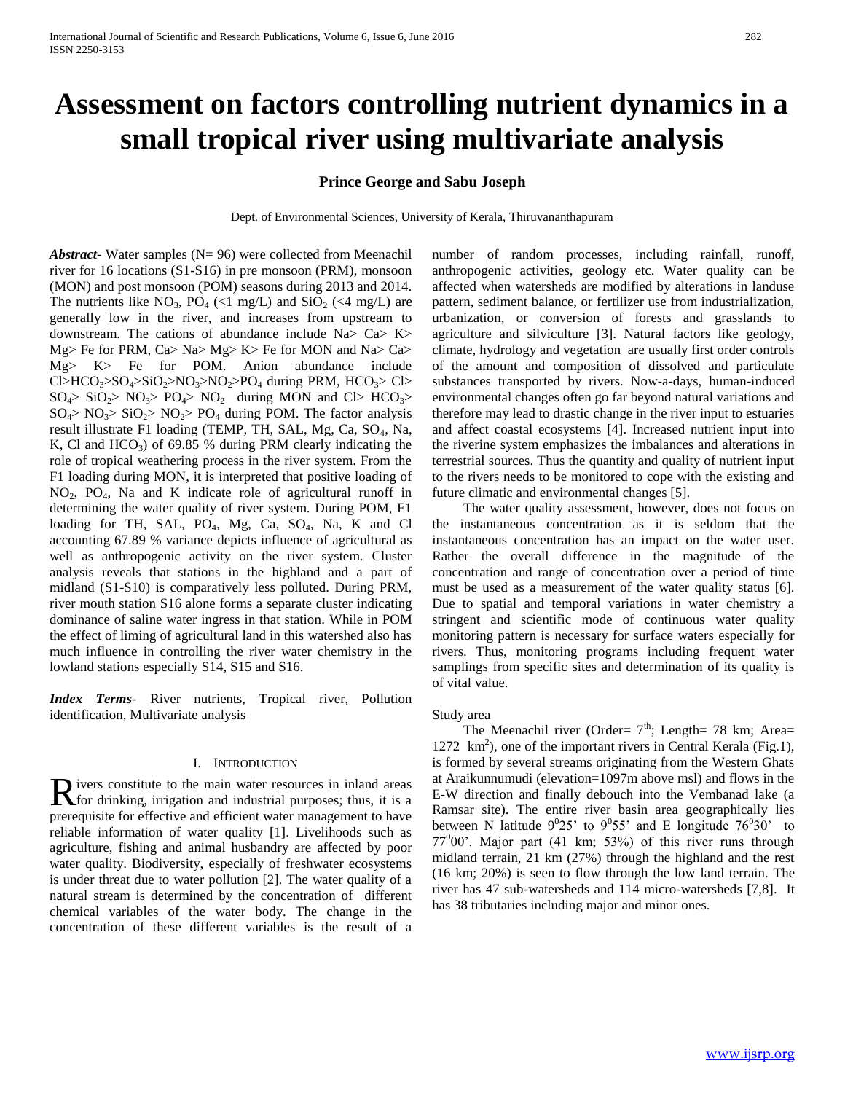# **Assessment on factors controlling nutrient dynamics in a small tropical river using multivariate analysis**

## **Prince George and Sabu Joseph**

Dept. of Environmental Sciences, University of Kerala, Thiruvananthapuram

*Abstract***-** Water samples (N= 96) were collected from Meenachil river for 16 locations (S1-S16) in pre monsoon (PRM), monsoon (MON) and post monsoon (POM) seasons during 2013 and 2014. The nutrients like  $NO_3$ ,  $PO_4$  (<1 mg/L) and  $SiO_2$  (<4 mg/L) are generally low in the river, and increases from upstream to downstream. The cations of abundance include Na> Ca> K> Mg> Fe for PRM, Ca> Na> Mg> K> Fe for MON and Na> Ca> Mg> K> Fe for POM. Anion abundance include Cl>HCO<sub>3</sub>>SO<sub>4</sub>>SiO<sub>2</sub>>NO<sub>3</sub>>NO<sub>2</sub>>PO<sub>4</sub> during PRM, HCO<sub>3</sub>> Cl>  $SO_4$ >  $SO_2$ >  $NO_3$ >  $PO_4$ >  $NO_2$  during MON and Cl>  $HCO_3$ >  $SO_4$ >  $NO_3$ >  $SO_2$ >  $NO_2$ >  $PO_4$  during POM. The factor analysis result illustrate F1 loading (TEMP, TH, SAL, Mg, Ca, SO<sub>4</sub>, Na, K, Cl and  $HCO<sub>3</sub>$ ) of 69.85 % during PRM clearly indicating the role of tropical weathering process in the river system. From the F1 loading during MON, it is interpreted that positive loading of NO2, PO4, Na and K indicate role of agricultural runoff in determining the water quality of river system. During POM, F1 loading for TH, SAL, PO<sub>4</sub>, Mg, Ca, SO<sub>4</sub>, Na, K and Cl accounting 67.89 % variance depicts influence of agricultural as well as anthropogenic activity on the river system. Cluster analysis reveals that stations in the highland and a part of midland (S1-S10) is comparatively less polluted. During PRM, river mouth station S16 alone forms a separate cluster indicating dominance of saline water ingress in that station. While in POM the effect of liming of agricultural land in this watershed also has much influence in controlling the river water chemistry in the lowland stations especially S14, S15 and S16.

*Index Terms*- River nutrients, Tropical river, Pollution identification, Multivariate analysis

## I. INTRODUCTION

ivers constitute to the main water resources in inland areas Rivers constitute to the main water resources in inland areas<br>for drinking, irrigation and industrial purposes; thus, it is a prerequisite for effective and efficient water management to have reliable information of water quality [1]. Livelihoods such as agriculture, fishing and animal husbandry are affected by poor water quality. Biodiversity, especially of freshwater ecosystems is under threat due to water pollution [2]. The water quality of a natural stream is determined by the concentration of different chemical variables of the water body. The change in the concentration of these different variables is the result of a

number of random processes, including rainfall, runoff, anthropogenic activities, geology etc. Water quality can be affected when watersheds are modified by alterations in landuse pattern, sediment balance, or fertilizer use from industrialization, urbanization, or conversion of forests and grasslands to agriculture and silviculture [3]. Natural factors like geology, climate, hydrology and vegetation are usually first order controls of the amount and composition of dissolved and particulate substances transported by rivers. Now-a-days, human-induced environmental changes often go far beyond natural variations and therefore may lead to drastic change in the river input to estuaries and affect coastal ecosystems [4]. Increased nutrient input into the riverine system emphasizes the imbalances and alterations in terrestrial sources. Thus the quantity and quality of nutrient input to the rivers needs to be monitored to cope with the existing and future climatic and environmental changes [5].

 The water quality assessment, however, does not focus on the instantaneous concentration as it is seldom that the instantaneous concentration has an impact on the water user. Rather the overall difference in the magnitude of the concentration and range of concentration over a period of time must be used as a measurement of the water quality status [6]. Due to spatial and temporal variations in water chemistry a stringent and scientific mode of continuous water quality monitoring pattern is necessary for surface waters especially for rivers. Thus, monitoring programs including frequent water samplings from specific sites and determination of its quality is of vital value.

## Study area

The Meenachil river (Order=  $7<sup>th</sup>$ ; Length= 78 km; Area= 1272 km<sup>2</sup>), one of the important rivers in Central Kerala (Fig.1), is formed by several streams originating from the Western Ghats at Araikunnumudi (elevation=1097m above msl) and flows in the E-W direction and finally debouch into the Vembanad lake (a Ramsar site). The entire river basin area geographically lies between N latitude  $9^025'$  to  $9^055'$  and E longitude  $76^030'$  to 77<sup>0</sup> 00'. Major part (41 km; 53%) of this river runs through midland terrain, 21 km (27%) through the highland and the rest (16 km; 20%) is seen to flow through the low land terrain. The river has 47 sub-watersheds and 114 micro-watersheds [7,8]. It has 38 tributaries including major and minor ones.

[www.ijsrp.org](http://ijsrp.org/)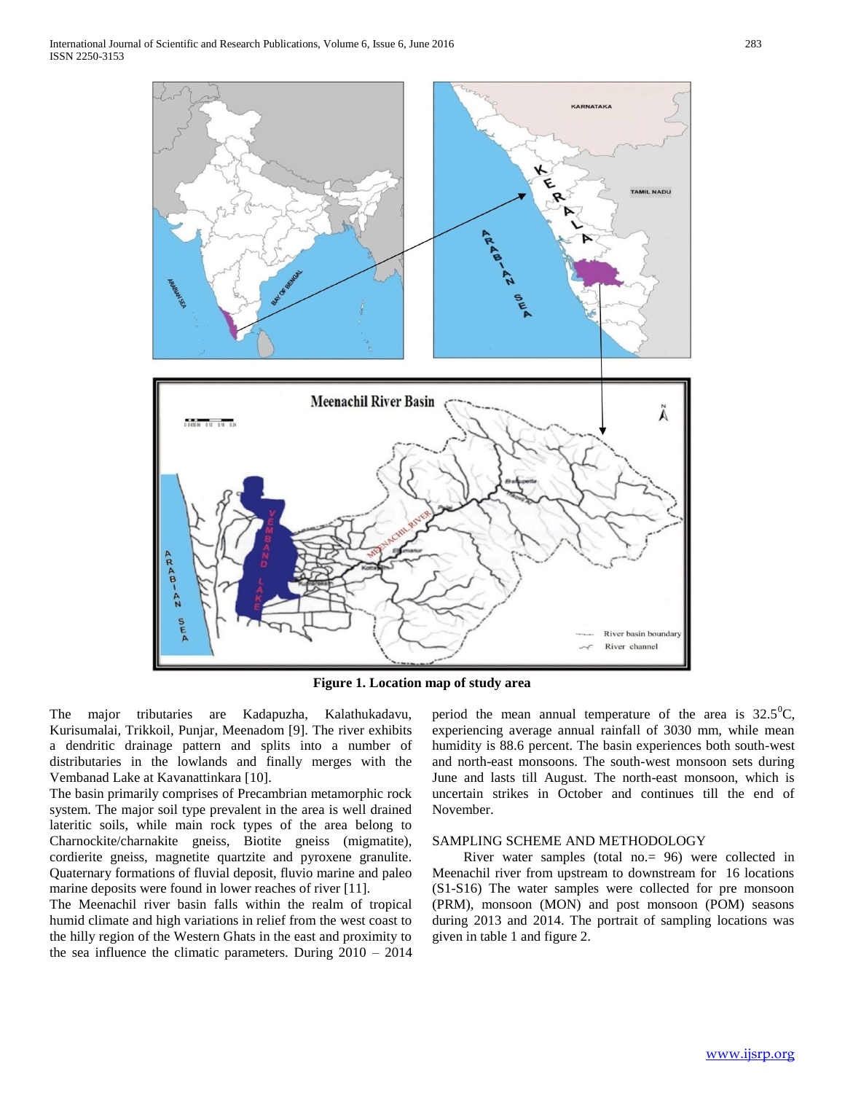

**Figure 1. Location map of study area**

The major tributaries are Kadapuzha, Kalathukadavu, Kurisumalai, Trikkoil, Punjar, Meenadom [9]. The river exhibits a dendritic drainage pattern and splits into a number of distributaries in the lowlands and finally merges with the Vembanad Lake at Kavanattinkara [10].

The basin primarily comprises of Precambrian metamorphic rock system. The major soil type prevalent in the area is well drained lateritic soils, while main rock types of the area belong to Charnockite/charnakite gneiss, Biotite gneiss (migmatite), cordierite gneiss, magnetite quartzite and pyroxene granulite. Quaternary formations of fluvial deposit, fluvio marine and paleo marine deposits were found in lower reaches of river [11].

The Meenachil river basin falls within the realm of tropical humid climate and high variations in relief from the west coast to the hilly region of the Western Ghats in the east and proximity to the sea influence the climatic parameters. During 2010 – 2014 period the mean annual temperature of the area is  $32.5^{\circ}C$ , experiencing average annual rainfall of 3030 mm, while mean humidity is 88.6 percent. The basin experiences both south-west and north-east monsoons. The south-west monsoon sets during June and lasts till August. The north-east monsoon, which is uncertain strikes in October and continues till the end of November.

## SAMPLING SCHEME AND METHODOLOGY

 River water samples (total no.= 96) were collected in Meenachil river from upstream to downstream for 16 locations (S1-S16) The water samples were collected for pre monsoon (PRM), monsoon (MON) and post monsoon (POM) seasons during 2013 and 2014. The portrait of sampling locations was given in table 1 and figure 2.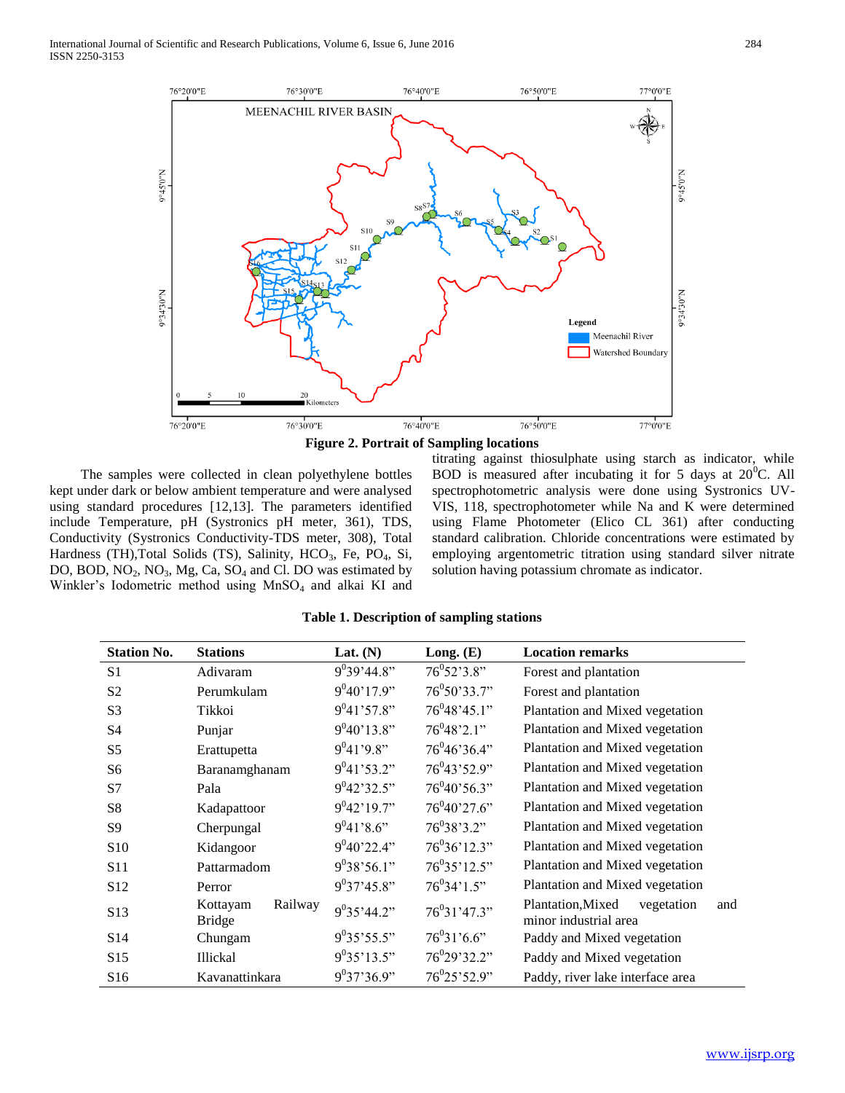



 The samples were collected in clean polyethylene bottles kept under dark or below ambient temperature and were analysed using standard procedures [12,13]. The parameters identified include Temperature, pH (Systronics pH meter, 361), TDS, Conductivity (Systronics Conductivity-TDS meter, 308), Total Hardness (TH),Total Solids (TS), Salinity, HCO<sub>3</sub>, Fe, PO<sub>4</sub>, Si, DO, BOD,  $NO_2$ ,  $NO_3$ ,  $Mg$ ,  $Ca$ ,  $SO_4$  and Cl. DO was estimated by Winkler's Iodometric method using  $MnSO<sub>4</sub>$  and alkai KI and

titrating against thiosulphate using starch as indicator, while BOD is measured after incubating it for 5 days at  $20^{\circ}$ C. All spectrophotometric analysis were done using Systronics UV-VIS, 118, spectrophotometer while Na and K were determined using Flame Photometer (Elico CL 361) after conducting standard calibration. Chloride concentrations were estimated by employing argentometric titration using standard silver nitrate solution having potassium chromate as indicator.

| <b>Station No.</b> | <b>Stations</b>                      | Lat. $(N)$      | Long. $(E)$                            | <b>Location remarks</b>                                         |
|--------------------|--------------------------------------|-----------------|----------------------------------------|-----------------------------------------------------------------|
| S <sub>1</sub>     | Adivaram                             | $9^{0}39'44.8"$ | $76^{\circ}52^{\circ}3.8^{\circ\circ}$ | Forest and plantation                                           |
| S <sub>2</sub>     | Perumkulam                           | $9^{0}40'17.9"$ | $76^{0}50'33.7"$                       | Forest and plantation                                           |
| S <sub>3</sub>     | Tikkoi                               | $9^{0}41'57.8"$ | $76^{0}48'45.1"$                       | Plantation and Mixed vegetation                                 |
| S <sub>4</sub>     | Punjar                               | $9^040'13.8"$   | $76^{0}48'2.1"$                        | Plantation and Mixed vegetation                                 |
| S <sub>5</sub>     | Erattupetta                          | $9^{0}41'9.8"$  | $76^{0}46'36.4"$                       | Plantation and Mixed vegetation                                 |
| S <sub>6</sub>     | Baranamghanam                        | $9^{0}41'53.2"$ | $76^{0}43'52.9"$                       | Plantation and Mixed vegetation                                 |
| S7                 | Pala                                 | $9^{0}42'32.5"$ | $76^{0}40'56.3"$                       | Plantation and Mixed vegetation                                 |
| S8                 | Kadapattoor                          | $9^{0}42'19.7"$ | $76^{0}40'27.6"$                       | Plantation and Mixed vegetation                                 |
| S <sub>9</sub>     | Cherpungal                           | $9^041'8.6"$    | $76^{0}38'3.2"$                        | Plantation and Mixed vegetation                                 |
| S <sub>10</sub>    | Kidangoor                            | $9^{0}40'22.4"$ | $76^{0}36'12.3"$                       | Plantation and Mixed vegetation                                 |
| S <sub>11</sub>    | Pattarmadom                          | $9^{0}38'56.1"$ | $76^{0}35'12.5"$                       | Plantation and Mixed vegetation                                 |
| S12                | Perror                               | $9^{0}37'45.8"$ | $76^{0}34'1.5"$                        | Plantation and Mixed vegetation                                 |
| S <sub>13</sub>    | Railway<br>Kottayam<br><b>Bridge</b> | $9^035'44.2"$   | $76^{0}31'47.3"$                       | Plantation, Mixed<br>vegetation<br>and<br>minor industrial area |
| S <sub>14</sub>    | Chungam                              | $9^{0}35'55.5"$ | $76^{0}31'6.6"$                        | Paddy and Mixed vegetation                                      |
| S <sub>15</sub>    | <b>Illickal</b>                      | $9^{0}35'13.5"$ | 76 <sup>0</sup> 29'32.2"               | Paddy and Mixed vegetation                                      |
| S <sub>16</sub>    | Kavanattinkara                       | $9^{0}37'36.9"$ | $76^{0}25'52.9"$                       | Paddy, river lake interface area                                |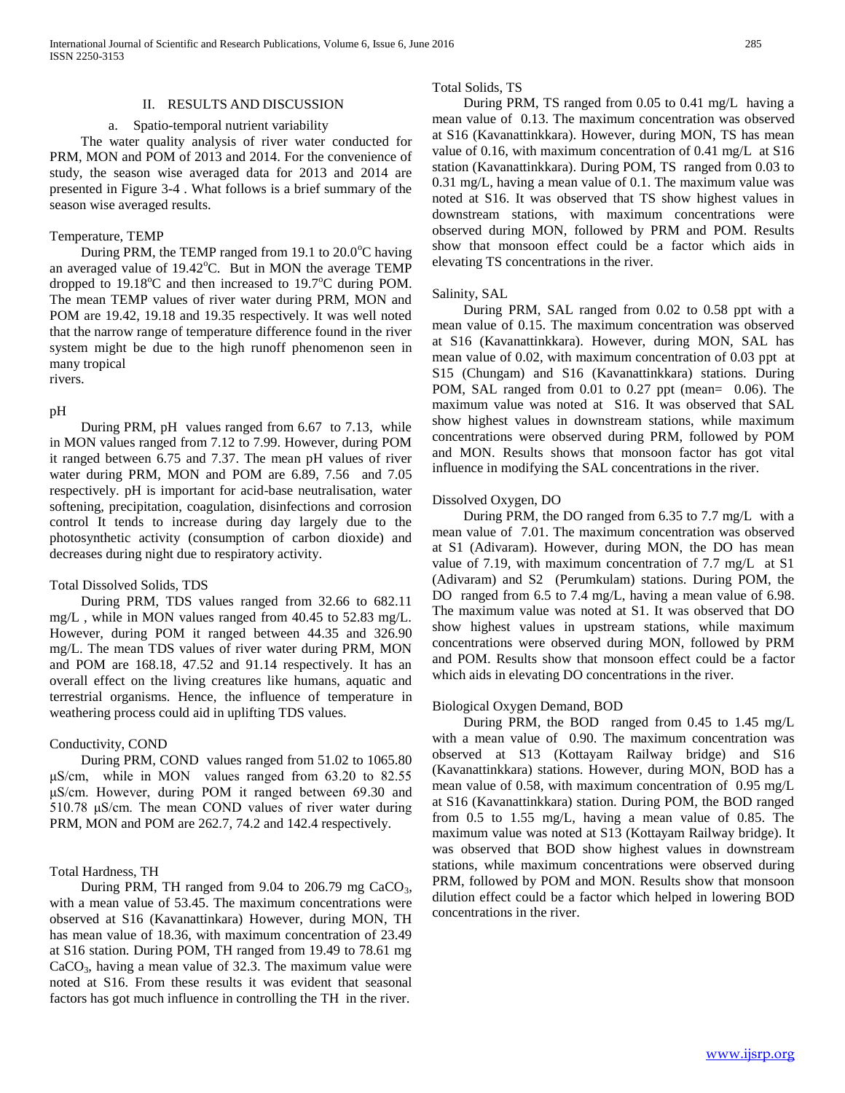#### II. RESULTS AND DISCUSSION

#### a. Spatio-temporal nutrient variability

 The water quality analysis of river water conducted for PRM, MON and POM of 2013 and 2014. For the convenience of study, the season wise averaged data for 2013 and 2014 are presented in Figure 3-4 . What follows is a brief summary of the season wise averaged results.

#### Temperature, TEMP

During PRM, the TEMP ranged from 19.1 to  $20.0^{\circ}$ C having an averaged value of  $19.42^{\circ}$ C. But in MON the average TEMP dropped to  $19.18^{\circ}$ C and then increased to  $19.7^{\circ}$ C during POM. The mean TEMP values of river water during PRM, MON and POM are 19.42, 19.18 and 19.35 respectively. It was well noted that the narrow range of temperature difference found in the river system might be due to the high runoff phenomenon seen in many tropical rivers.

#### pH

 During PRM, pH values ranged from 6.67 to 7.13, while in MON values ranged from 7.12 to 7.99. However, during POM it ranged between 6.75 and 7.37. The mean pH values of river water during PRM, MON and POM are 6.89, 7.56 and 7.05 respectively. pH is important for acid-base neutralisation, water softening, precipitation, coagulation, disinfections and corrosion control It tends to increase during day largely due to the photosynthetic activity (consumption of carbon dioxide) and decreases during night due to respiratory activity.

#### Total Dissolved Solids, TDS

 During PRM, TDS values ranged from 32.66 to 682.11 mg/L , while in MON values ranged from 40.45 to 52.83 mg/L. However, during POM it ranged between 44.35 and 326.90 mg/L. The mean TDS values of river water during PRM, MON and POM are 168.18, 47.52 and 91.14 respectively. It has an overall effect on the living creatures like humans, aquatic and terrestrial organisms. Hence, the influence of temperature in weathering process could aid in uplifting TDS values.

## Conductivity, COND

 During PRM, COND values ranged from 51.02 to 1065.80 μS/cm, while in MON values ranged from 63.20 to 82.55 μS/cm. However, during POM it ranged between 69.30 and 510.78 μS/cm. The mean COND values of river water during PRM, MON and POM are 262.7, 74.2 and 142.4 respectively.

## Total Hardness, TH

During PRM, TH ranged from  $9.04$  to  $206.79$  mg CaCO<sub>3</sub>, with a mean value of 53.45. The maximum concentrations were observed at S16 (Kavanattinkara) However, during MON, TH has mean value of 18.36, with maximum concentration of 23.49 at S16 station. During POM, TH ranged from 19.49 to 78.61 mg  $CaCO<sub>3</sub>$ , having a mean value of 32.3. The maximum value were noted at S16. From these results it was evident that seasonal factors has got much influence in controlling the TH in the river.

#### Total Solids, TS

 During PRM, TS ranged from 0.05 to 0.41 mg/L having a mean value of 0.13. The maximum concentration was observed at S16 (Kavanattinkkara). However, during MON, TS has mean value of 0.16, with maximum concentration of 0.41 mg/L at S16 station (Kavanattinkkara). During POM, TS ranged from 0.03 to 0.31 mg/L, having a mean value of 0.1. The maximum value was noted at S16. It was observed that TS show highest values in downstream stations, with maximum concentrations were observed during MON, followed by PRM and POM. Results show that monsoon effect could be a factor which aids in elevating TS concentrations in the river.

## Salinity, SAL

 During PRM, SAL ranged from 0.02 to 0.58 ppt with a mean value of 0.15. The maximum concentration was observed at S16 (Kavanattinkkara). However, during MON, SAL has mean value of 0.02, with maximum concentration of 0.03 ppt at S15 (Chungam) and S16 (Kavanattinkkara) stations. During POM, SAL ranged from 0.01 to 0.27 ppt (mean= 0.06). The maximum value was noted at S16. It was observed that SAL show highest values in downstream stations, while maximum concentrations were observed during PRM, followed by POM and MON. Results shows that monsoon factor has got vital influence in modifying the SAL concentrations in the river.

## Dissolved Oxygen, DO

 During PRM, the DO ranged from 6.35 to 7.7 mg/L with a mean value of 7.01. The maximum concentration was observed at S1 (Adivaram). However, during MON, the DO has mean value of 7.19, with maximum concentration of 7.7 mg/L at S1 (Adivaram) and S2 (Perumkulam) stations. During POM, the DO ranged from 6.5 to 7.4 mg/L, having a mean value of 6.98. The maximum value was noted at S1. It was observed that DO show highest values in upstream stations, while maximum concentrations were observed during MON, followed by PRM and POM. Results show that monsoon effect could be a factor which aids in elevating DO concentrations in the river.

## Biological Oxygen Demand, BOD

 During PRM, the BOD ranged from 0.45 to 1.45 mg/L with a mean value of 0.90. The maximum concentration was observed at S13 (Kottayam Railway bridge) and S16 (Kavanattinkkara) stations. However, during MON, BOD has a mean value of 0.58, with maximum concentration of 0.95 mg/L at S16 (Kavanattinkkara) station. During POM, the BOD ranged from 0.5 to 1.55 mg/L, having a mean value of 0.85. The maximum value was noted at S13 (Kottayam Railway bridge). It was observed that BOD show highest values in downstream stations, while maximum concentrations were observed during PRM, followed by POM and MON. Results show that monsoon dilution effect could be a factor which helped in lowering BOD concentrations in the river.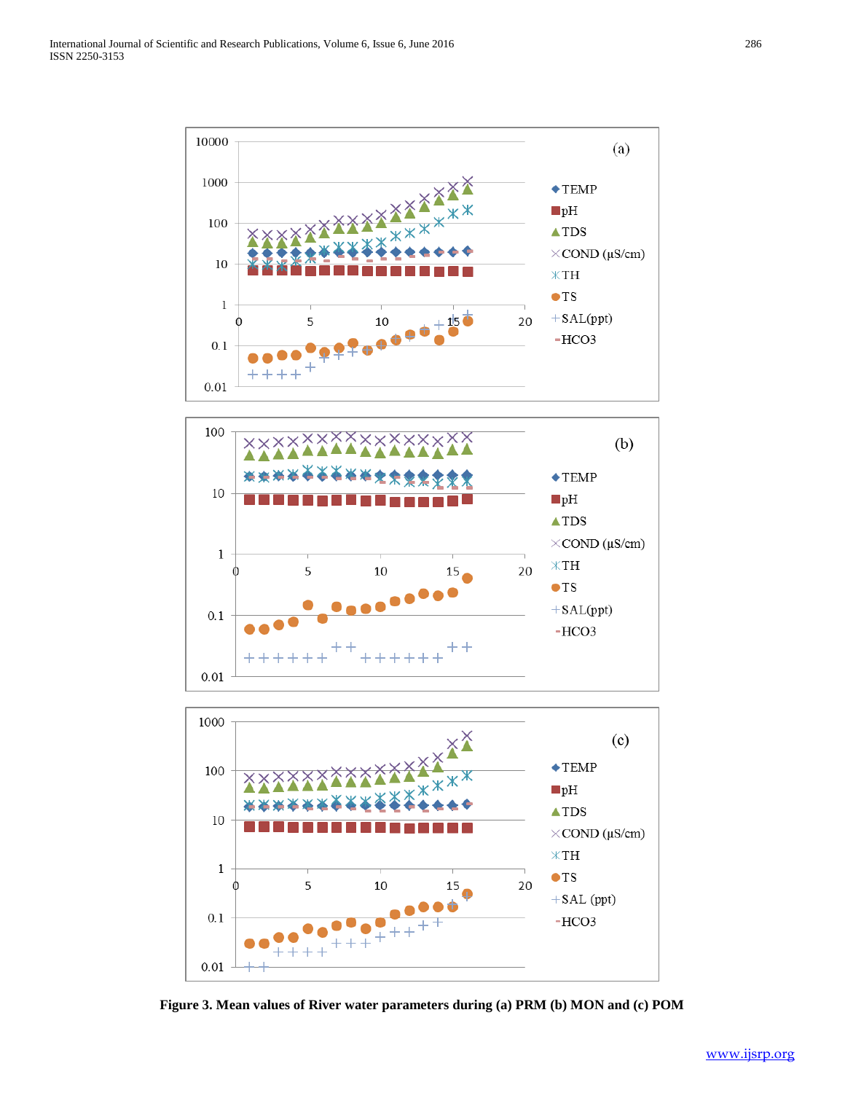





**Figure 3. Mean values of River water parameters during (a) PRM (b) MON and (c) POM**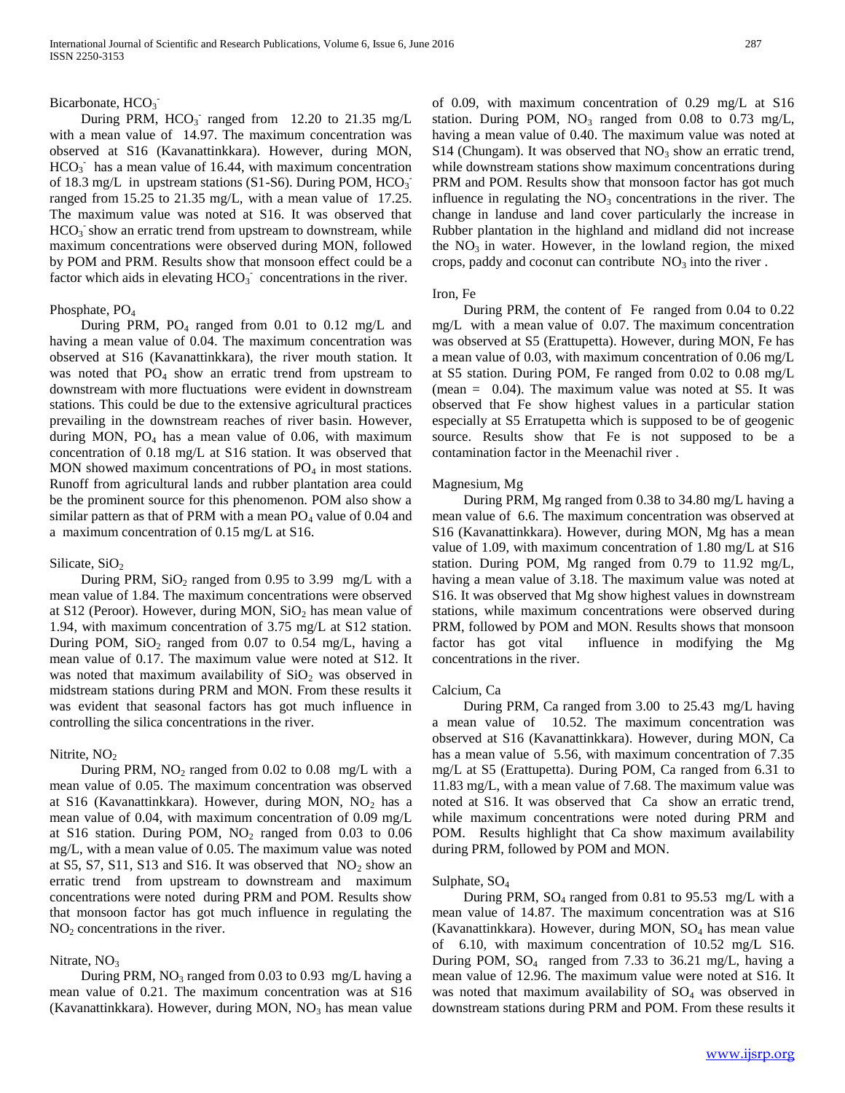# Bicarbonate, HCO<sub>3</sub>

During PRM,  $HCO_3^-$  ranged from 12.20 to 21.35 mg/L with a mean value of 14.97. The maximum concentration was observed at S16 (Kavanattinkkara). However, during MON,  $HCO<sub>3</sub>$  has a mean value of 16.44, with maximum concentration of 18.3 mg/L in upstream stations (S1-S6). During POM,  $HCO_3$ <sup>-</sup> ranged from 15.25 to 21.35 mg/L, with a mean value of 17.25. The maximum value was noted at S16. It was observed that  $HCO<sub>3</sub>$  show an erratic trend from upstream to downstream, while maximum concentrations were observed during MON, followed by POM and PRM. Results show that monsoon effect could be a factor which aids in elevating  $HCO<sub>3</sub>$  concentrations in the river.

## Phosphate, PO<sub>4</sub>

During PRM,  $PO_4$  ranged from 0.01 to 0.12 mg/L and having a mean value of 0.04. The maximum concentration was observed at S16 (Kavanattinkkara), the river mouth station. It was noted that  $PO_4$  show an erratic trend from upstream to downstream with more fluctuations were evident in downstream stations. This could be due to the extensive agricultural practices prevailing in the downstream reaches of river basin. However, during MON,  $PO_4$  has a mean value of 0.06, with maximum concentration of 0.18 mg/L at S16 station. It was observed that MON showed maximum concentrations of  $PO<sub>4</sub>$  in most stations. Runoff from agricultural lands and rubber plantation area could be the prominent source for this phenomenon. POM also show a similar pattern as that of PRM with a mean  $PO<sub>4</sub>$  value of 0.04 and a maximum concentration of 0.15 mg/L at S16.

#### Silicate,  $SiO<sub>2</sub>$

During PRM,  $SiO_2$  ranged from 0.95 to 3.99 mg/L with a mean value of 1.84. The maximum concentrations were observed at S12 (Peroor). However, during MON,  $SiO<sub>2</sub>$  has mean value of 1.94, with maximum concentration of 3.75 mg/L at S12 station. During POM,  $SiO_2$  ranged from 0.07 to 0.54 mg/L, having a mean value of 0.17. The maximum value were noted at S12. It was noted that maximum availability of  $SiO<sub>2</sub>$  was observed in midstream stations during PRM and MON. From these results it was evident that seasonal factors has got much influence in controlling the silica concentrations in the river.

#### Nitrite,  $NO<sub>2</sub>$

During PRM,  $NO<sub>2</sub>$  ranged from 0.02 to 0.08 mg/L with a mean value of 0.05. The maximum concentration was observed at S16 (Kavanattinkkara). However, during MON,  $NO<sub>2</sub>$  has a mean value of 0.04, with maximum concentration of 0.09 mg/L at S16 station. During POM,  $NO<sub>2</sub>$  ranged from 0.03 to 0.06 mg/L, with a mean value of 0.05. The maximum value was noted at S5, S7, S11, S13 and S16. It was observed that  $NO<sub>2</sub>$  show an erratic trend from upstream to downstream and maximum concentrations were noted during PRM and POM. Results show that monsoon factor has got much influence in regulating the  $NO<sub>2</sub>$  concentrations in the river.

#### Nitrate,  $NO<sub>3</sub>$

During PRM,  $NO_3$  ranged from 0.03 to 0.93 mg/L having a mean value of 0.21. The maximum concentration was at S16 (Kavanattinkkara). However, during MON,  $NO<sub>3</sub>$  has mean value of 0.09, with maximum concentration of 0.29 mg/L at S16 station. During POM,  $NO_3$  ranged from 0.08 to 0.73 mg/L, having a mean value of 0.40. The maximum value was noted at S14 (Chungam). It was observed that  $NO<sub>3</sub>$  show an erratic trend, while downstream stations show maximum concentrations during PRM and POM. Results show that monsoon factor has got much influence in regulating the  $NO<sub>3</sub>$  concentrations in the river. The change in landuse and land cover particularly the increase in Rubber plantation in the highland and midland did not increase the  $NO<sub>3</sub>$  in water. However, in the lowland region, the mixed crops, paddy and coconut can contribute  $NO<sub>3</sub>$  into the river.

#### Iron, Fe

 During PRM, the content of Fe ranged from 0.04 to 0.22 mg/L with a mean value of 0.07. The maximum concentration was observed at S5 (Erattupetta). However, during MON, Fe has a mean value of 0.03, with maximum concentration of 0.06 mg/L at S5 station. During POM, Fe ranged from 0.02 to 0.08 mg/L (mean  $= 0.04$ ). The maximum value was noted at S5. It was observed that Fe show highest values in a particular station especially at S5 Erratupetta which is supposed to be of geogenic source. Results show that Fe is not supposed to be a contamination factor in the Meenachil river .

#### Magnesium, Mg

 During PRM, Mg ranged from 0.38 to 34.80 mg/L having a mean value of 6.6. The maximum concentration was observed at S16 (Kavanattinkkara). However, during MON, Mg has a mean value of 1.09, with maximum concentration of 1.80 mg/L at S16 station. During POM, Mg ranged from 0.79 to 11.92 mg/L, having a mean value of 3.18. The maximum value was noted at S16. It was observed that Mg show highest values in downstream stations, while maximum concentrations were observed during PRM, followed by POM and MON. Results shows that monsoon factor has got vital influence in modifying the Mg concentrations in the river.

#### Calcium, Ca

 During PRM, Ca ranged from 3.00 to 25.43 mg/L having a mean value of 10.52. The maximum concentration was observed at S16 (Kavanattinkkara). However, during MON, Ca has a mean value of 5.56, with maximum concentration of 7.35 mg/L at S5 (Erattupetta). During POM, Ca ranged from 6.31 to 11.83 mg/L, with a mean value of 7.68. The maximum value was noted at S16. It was observed that Ca show an erratic trend, while maximum concentrations were noted during PRM and POM. Results highlight that Ca show maximum availability during PRM, followed by POM and MON.

#### Sulphate, SO<sub>4</sub>

 During PRM, SO<sup>4</sup> ranged from 0.81 to 95.53 mg/L with a mean value of 14.87. The maximum concentration was at S16 (Kavanattinkkara). However, during MON,  $SO<sub>4</sub>$  has mean value of 6.10, with maximum concentration of 10.52 mg/L S16. During POM,  $SO_4$  ranged from 7.33 to 36.21 mg/L, having a mean value of 12.96. The maximum value were noted at S16. It was noted that maximum availability of  $SO<sub>4</sub>$  was observed in downstream stations during PRM and POM. From these results it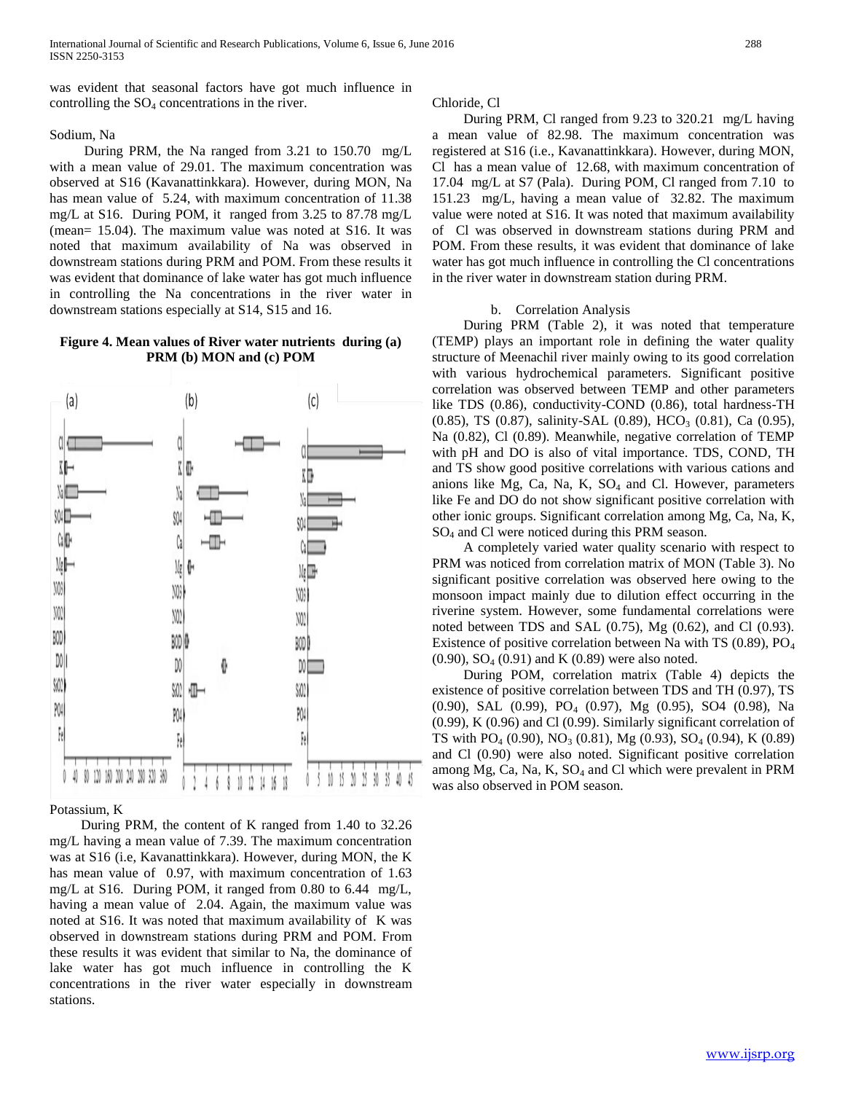was evident that seasonal factors have got much influence in controlling the  $SO_4$  concentrations in the river.

## Sodium, Na

 During PRM, the Na ranged from 3.21 to 150.70 mg/L with a mean value of 29.01. The maximum concentration was observed at S16 (Kavanattinkkara). However, during MON, Na has mean value of 5.24, with maximum concentration of 11.38 mg/L at S16. During POM, it ranged from 3.25 to 87.78 mg/L (mean= 15.04). The maximum value was noted at S16. It was noted that maximum availability of Na was observed in downstream stations during PRM and POM. From these results it was evident that dominance of lake water has got much influence in controlling the Na concentrations in the river water in downstream stations especially at S14, S15 and 16.

## **Figure 4. Mean values of River water nutrients during (a) PRM (b) MON and (c) POM**



## Potassium, K

 During PRM, the content of K ranged from 1.40 to 32.26 mg/L having a mean value of 7.39. The maximum concentration was at S16 (i.e, Kavanattinkkara). However, during MON, the K has mean value of 0.97, with maximum concentration of 1.63 mg/L at S16. During POM, it ranged from 0.80 to 6.44 mg/L, having a mean value of 2.04. Again, the maximum value was noted at S16. It was noted that maximum availability of K was observed in downstream stations during PRM and POM. From these results it was evident that similar to Na, the dominance of lake water has got much influence in controlling the K concentrations in the river water especially in downstream stations.

## Chloride, Cl

 During PRM, Cl ranged from 9.23 to 320.21 mg/L having a mean value of 82.98. The maximum concentration was registered at S16 (i.e., Kavanattinkkara). However, during MON, Cl has a mean value of 12.68, with maximum concentration of 17.04 mg/L at S7 (Pala). During POM, Cl ranged from 7.10 to 151.23 mg/L, having a mean value of 32.82. The maximum value were noted at S16. It was noted that maximum availability of Cl was observed in downstream stations during PRM and POM. From these results, it was evident that dominance of lake water has got much influence in controlling the Cl concentrations in the river water in downstream station during PRM.

## b. Correlation Analysis

 During PRM (Table 2), it was noted that temperature (TEMP) plays an important role in defining the water quality structure of Meenachil river mainly owing to its good correlation with various hydrochemical parameters. Significant positive correlation was observed between TEMP and other parameters like TDS (0.86), conductivity-COND (0.86), total hardness-TH (0.85), TS (0.87), salinity-SAL (0.89), HCO<sub>3</sub> (0.81), Ca (0.95), Na (0.82), Cl (0.89). Meanwhile, negative correlation of TEMP with pH and DO is also of vital importance. TDS, COND, TH and TS show good positive correlations with various cations and anions like Mg, Ca, Na, K,  $SO<sub>4</sub>$  and Cl. However, parameters like Fe and DO do not show significant positive correlation with other ionic groups. Significant correlation among Mg, Ca, Na, K, SO<sup>4</sup> and Cl were noticed during this PRM season.

 A completely varied water quality scenario with respect to PRM was noticed from correlation matrix of MON (Table 3). No significant positive correlation was observed here owing to the monsoon impact mainly due to dilution effect occurring in the riverine system. However, some fundamental correlations were noted between TDS and SAL (0.75), Mg (0.62), and Cl (0.93). Existence of positive correlation between Na with TS  $(0.89)$ , PO<sub>4</sub>  $(0.90)$ ,  $SO_4$   $(0.91)$  and K  $(0.89)$  were also noted.

 During POM, correlation matrix (Table 4) depicts the existence of positive correlation between TDS and TH (0.97), TS (0.90), SAL (0.99), PO<sup>4</sup> (0.97), Mg (0.95), SO4 (0.98), Na (0.99), K (0.96) and Cl (0.99). Similarly significant correlation of TS with  $PO_4$  (0.90),  $NO_3$  (0.81), Mg (0.93),  $SO_4$  (0.94), K (0.89) and Cl (0.90) were also noted. Significant positive correlation among Mg, Ca, Na, K,  $SO_4$  and Cl which were prevalent in PRM was also observed in POM season.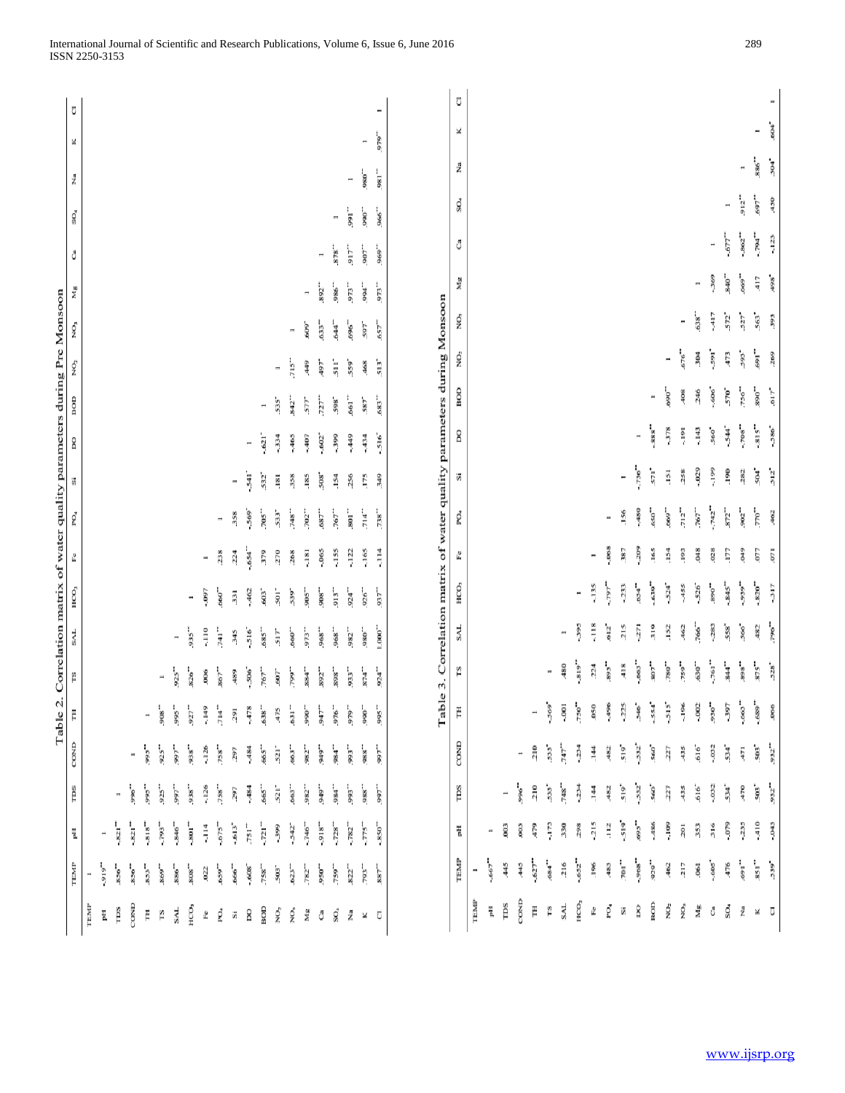|                  |                      |                                   |                          |                          |                      |                            |                          |                          |                          |                                                                        |                          | Table 2. Correlation matrix of water quality parameters during Pre Monsoon |                          |                          |                          |                |                          |                          |                 |      |                       |
|------------------|----------------------|-----------------------------------|--------------------------|--------------------------|----------------------|----------------------------|--------------------------|--------------------------|--------------------------|------------------------------------------------------------------------|--------------------------|----------------------------------------------------------------------------|--------------------------|--------------------------|--------------------------|----------------|--------------------------|--------------------------|-----------------|------|-----------------------|
|                  | TEMP                 | $\overline{\mathrm{a}}$           | TDS                      | COND                     | Ë                    | Ľ                          | SAL                      | HCO <sub>3</sub>         | £                        | PO <sub>4</sub>                                                        | ši                       | 8                                                                          | BOD                      | NO,                      | χŌ,                      | Mg             | ්                        | $\mathbb{S}^0$           | Ž               | ×    | $\overline{\text{C}}$ |
| TEMP             | Ë                    |                                   |                          |                          |                      |                            |                          |                          |                          |                                                                        |                          |                                                                            |                          |                          |                          |                |                          |                          |                 |      |                       |
| Ë                | -919"                | $\blacksquare$                    |                          |                          |                      |                            |                          |                          |                          |                                                                        |                          |                                                                            |                          |                          |                          |                |                          |                          |                 |      |                       |
| TDS              | 856"                 | $-821$ <sup>-<math>-</math></sup> | $\overline{\phantom{a}}$ |                          |                      |                            |                          |                          |                          |                                                                        |                          |                                                                            |                          |                          |                          |                |                          |                          |                 |      |                       |
| COND             | 856"                 | $-821$ <sup>--</sup>              | .996                     | $\overline{\phantom{a}}$ |                      |                            |                          |                          |                          |                                                                        |                          |                                                                            |                          |                          |                          |                |                          |                          |                 |      |                       |
| Ë                | 853                  | $-818^{-}$                        | .566                     |                          | $\blacksquare$       |                            |                          |                          |                          |                                                                        |                          |                                                                            |                          |                          |                          |                |                          |                          |                 |      |                       |
| FS               | 869                  | $-793$ <sup>**</sup>              | 925                      | 925"                     | 908"                 | $\overline{\phantom{a}}$   |                          |                          |                          |                                                                        |                          |                                                                            |                          |                          |                          |                |                          |                          |                 |      |                       |
| <b>SAL</b>       | 886                  | $-846$ <sup>**</sup>              | -166                     | -166                     | 995"                 | 925**                      | $\overline{\phantom{a}}$ |                          |                          |                                                                        |                          |                                                                            |                          |                          |                          |                |                          |                          |                 |      |                       |
| HCO <sub>3</sub> | 808                  | $-801$ <sup>--</sup>              | 938                      | 938                      | $927$ <sup>*</sup>   | 826                        | .935**                   | $\overline{\phantom{a}}$ |                          |                                                                        |                          |                                                                            |                          |                          |                          |                |                          |                          |                 |      |                       |
| L                | ,022                 | $\frac{4}{7}$                     | $-126$                   | $-126$                   | -149                 | ,006                       | $\frac{1}{2}$            | -.097                    | $\blacksquare$           |                                                                        |                          |                                                                            |                          |                          |                          |                |                          |                          |                 |      |                       |
| ğ,               | 659**                | $-675$ <sup>**</sup>              | .758"                    | 758"                     | 714"                 | .867**                     | 741*                     | 660*                     | 238                      | $\overline{\phantom{a}}$                                               |                          |                                                                            |                          |                          |                          |                |                          |                          |                 |      |                       |
| ä                | 666**                | $-613"$                           | 297                      | 297                      | 291                  | 489                        | 345                      | 331                      | 224                      | 358                                                                    | H                        |                                                                            |                          |                          |                          |                |                          |                          |                 |      |                       |
| 8                | $-608$               | $751$ <sup>--</sup>               | $-484$                   | -484                     | -478                 | $-506$                     | $-516$                   | $-462$                   | -654                     | -569                                                                   | $rac{1}{2}$              | $\overline{\phantom{a}}$                                                   |                          |                          |                          |                |                          |                          |                 |      |                       |
| BOD              | 758"                 | $721$ <sup>**</sup>               | 665**                    | 665°                     | .638                 | 767"                       | <b>685</b>               | 603                      | 379                      | $-2005$                                                                | 532*                     | $-621$ <sup>*</sup>                                                        | $\overline{\phantom{a}}$ |                          |                          |                |                          |                          |                 |      |                       |
| ź,               | 503*                 | $-399$                            | $521^*$                  | s21°                     | 475                  | -1.09                      | $517$ <sup>*</sup>       | 501*                     | 270                      | 533                                                                    | $\overline{181}$         | $-334$                                                                     | 535                      | $\overline{\phantom{a}}$ |                          |                |                          |                          |                 |      |                       |
| χö,              | 623**                | $-542"$                           | .663*                    | 663*                     | -159                 | --664"                     | .660*                    | 539                      | 268                      | 748"                                                                   | 358                      | $-465$                                                                     | 842*                     | $715$ <sup>**</sup>      | $\overline{\phantom{a}}$ |                |                          |                          |                 |      |                       |
| Mg               | 782"                 | $-746$ <sup>**</sup>              | .982                     | 982"                     | .066                 | $-1884$                    | 973**                    |                          | $\frac{181}{181}$        | 702"                                                                   | .185                     | -. 407                                                                     | 577                      | $rac{9}{4}$              | 609                      | $\blacksquare$ |                          |                          |                 |      |                       |
| ő                | 950**                | 918"                              | 949                      | -616                     | 947*                 | 892**                      | 968                      | -806                     | $-065$                   | .687"                                                                  | 508                      | $-602"$                                                                    | 727                      | -168                     | 633**                    | 892**          | $\overline{\phantom{a}}$ |                          |                 |      |                       |
| SO <sub>4</sub>  | 759**                | 728"                              | -384                     | 984"                     | 976"                 | $898^\circ$                | 968                      | 913**                    | $-155$                   | 767"                                                                   | .154                     | $-399$                                                                     | 598                      | $511$ <sup>*</sup>       | 644"                     | .,986          | 878                      | $\overline{\phantom{a}}$ |                 |      |                       |
| ž                | 822"                 | 782"                              | .566                     | - 166                    | -646                 | 933                        | - 286                    | 924"                     | $-122$                   | $rac{1}{8}$                                                            | 256                      | -449                                                                       | 661"                     | 559                      | .696"                    | 973**          | 917**                    | -.166                    | $\blacksquare$  |      |                       |
|                  |                      |                                   |                          |                          |                      |                            |                          |                          |                          |                                                                        |                          |                                                                            |                          |                          |                          |                |                          |                          |                 |      |                       |
| ×                | .193                 | 5175                              | .988                     | 988 <sup>**</sup>        | -066                 | <b>874**</b>               | 080                      | 926"                     | $-165$                   | $714$ <sup>**</sup>                                                    | .175                     | $-434$                                                                     | 587*                     | 468                      | 597                      | -166           | 907**                    | 066                      | $^{+080}$       | Ħ    |                       |
| Ū                | 887**                | $-850"$                           | $-166$                   | -166                     | ">995                | 924"                       | 1.000"                   | 937**                    | $\frac{3}{7}$            | .738"                                                                  | 349                      | $-516$ <sup>*</sup>                                                        | 683**                    | $513$ <sup>*</sup>       | 657**                    | 973**          | .969*                    | 966"                     | $\cdot$         | 979" | Ħ                     |
|                  |                      |                                   |                          |                          |                      |                            |                          |                          |                          | Table 3. Correlation matrix of water quality parameters during Monsoon |                          |                                                                            |                          |                          |                          |                |                          |                          |                 |      |                       |
|                  | TEMP                 | Ë                                 | rps                      | COND                     | Ë                    | rs                         | SAL                      | HCO <sub>3</sub>         | ů                        | PO <sub>4</sub>                                                        | Š.                       | g                                                                          | BOID                     | Ŕ.                       | Ř,                       | Mg             | ĉ                        | SO <sub>4</sub>          | Ž               | ×    | Ū                     |
| TEMP             | Ħ                    |                                   |                          |                          |                      |                            |                          |                          |                          |                                                                        |                          |                                                                            |                          |                          |                          |                |                          |                          |                 |      |                       |
| Ë                | $-667$               | Ħ                                 |                          |                          |                      |                            |                          |                          |                          |                                                                        |                          |                                                                            |                          |                          |                          |                |                          |                          |                 |      |                       |
| TDS              | 445                  | .003                              | Ħ                        |                          |                      |                            |                          |                          |                          |                                                                        |                          |                                                                            |                          |                          |                          |                |                          |                          |                 |      |                       |
| COND             | 445                  | 80                                | .966                     | Ħ                        |                      |                            |                          |                          |                          |                                                                        |                          |                                                                            |                          |                          |                          |                |                          |                          |                 |      |                       |
| Ë                | $-627$ <sup>**</sup> | 479                               | 210                      | 210                      | Ħ                    |                            |                          |                          |                          |                                                                        |                          |                                                                            |                          |                          |                          |                |                          |                          |                 |      |                       |
| ŗs               | 684                  | $-173$                            | 533                      | 533                      | -569                 | $\overline{\phantom{a}}$   |                          |                          |                          |                                                                        |                          |                                                                            |                          |                          |                          |                |                          |                          |                 |      |                       |
| SAL              | 216                  | 330                               | 748"                     | 747"                     | $-001$               | 480                        | $\overline{\phantom{a}}$ |                          |                          |                                                                        |                          |                                                                            |                          |                          |                          |                |                          |                          |                 |      |                       |
| НΟΟ,             | $-652$ <sup>**</sup> | 298                               | $-234$                   | $-234$                   | .750"                | -819"                      | $-395$                   | $\overline{\phantom{a}}$ |                          |                                                                        |                          |                                                                            |                          |                          |                          |                |                          |                          |                 |      |                       |
| £                | .196                 | $-215$                            | $\frac{44}{14}$          | 144                      | ,050                 | 224                        | $-118$                   | $-135$                   | $\overline{\phantom{a}}$ |                                                                        |                          |                                                                            |                          |                          |                          |                |                          |                          |                 |      |                       |
| po,              | 483                  | $\frac{12}{11}$                   | 482                      | 482                      | .496                 | $568^{\circ}$              | 612                      | -164                     | $-068$                   | $\blacksquare$                                                         |                          |                                                                            |                          |                          |                          |                |                          |                          |                 |      |                       |
| š                | $701$ <sup>**</sup>  | $-519$                            | 519                      | 519                      | $-225$               | 418                        | 215                      | $-233$                   | 387                      | 156                                                                    | $\overline{\phantom{a}}$ |                                                                            |                          |                          |                          |                |                          |                          |                 |      |                       |
| 8                | $-968$               | 5695                              | $-532$                   | $-532$                   | 546                  | $-663"$                    | 371                      | 654                      | $-209$                   | $-480$                                                                 | $-736$                   | $\overline{a}$                                                             |                          |                          |                          |                |                          |                          |                 |      |                       |
| BOD              | 929**                | $-486$                            | 560                      | 560                      | $-554$ <sup>*</sup>  | $\sim 0.08$                | 319                      | $-639$ <sup>**</sup>     | .165                     | 650"                                                                   | $571$ <sup>-</sup>       | $-888$                                                                     | $\overline{\phantom{a}}$ |                          |                          |                |                          |                          |                 |      |                       |
| ģ,               | .462                 | $-109$                            | 227                      | 227                      | šis.                 | $\mathrel{^{*}}\!\!{^{*}}$ | .152                     | $-524$ <sup>*</sup>      | .154                     | 669"                                                                   | $\frac{151}{2}$          | $-378$                                                                     | $-069$                   | $\overline{\phantom{a}}$ |                          |                |                          |                          |                 |      |                       |
| ĝ                | 217                  | 201                               | 435                      | 435                      | $-196$               | $759$ <sup>**</sup>        | 462                      | $-455$                   | .193                     | $712$ <sup>**</sup>                                                    | 258                      | $-191$                                                                     | 408                      | .918                     | $\blacksquare$           |                |                          |                          |                 |      |                       |
| Mg               | .061                 | 353                               | .616                     | 616                      | $-002$               | 630"                       | 766                      | -526                     | 3                        | 767                                                                    | .029                     | $-143$                                                                     | 246                      | 304                      | 638                      | $\overline{a}$ |                          |                          |                 |      |                       |
| ĉ                | $-605$               | 316                               | $-032$                   | $-032$                   | 930"                 | $761$ <sup>**</sup>        | $-283$                   | .890"                    | .028                     | $-742$                                                                 | $-199$                   | 560                                                                        | $-606$                   | -591                     | -417                     | -369           | $\overline{a}$           |                          |                 |      |                       |
| ŚO,              | 476                  | -.079                             | 534                      | 534                      | -397                 | $^{844}$                   | 558                      | $-845"$                  | LET.                     | $872$ <sup>**</sup>                                                    | .190                     | $-544$ <sup>*</sup>                                                        | 570°                     | 473                      | 572*                     | 840"           | $-677$                   | $\overline{a}$           |                 |      |                       |
| Ž                | -169                 | $-235$                            | 470                      | 471                      | $-663"$              | $"898"$                    | 566                      | .939"                    | ĝp                       | $902$ <sup>**</sup>                                                    | 282                      | $-708$ .                                                                   | 756"                     | 593                      | $527^{\circ}$            | 669"           | $-862$ <sup>**</sup>     | 912**                    | $\overline{a}$  |      |                       |
|                  | $\mathbf{s}_{51}$ .  | $-410$                            | $503$ <sup>*</sup>       | $503$ <sup>*</sup>       | $-689$ <sup>**</sup> | $\frac{875}{10}$           | 482                      | $-820$ <sup>*</sup>      | 5.00                     | $\tau_{00}$                                                            | $504$ <sup>*</sup>       | $-815"$                                                                    | $"068$                   | -.169                    | 563*                     | 417            | $-194$                   | -697                     | $^{\circ}$ 885. | Ħ    |                       |
| × ū              | 539                  | $-043$                            | 932**                    | 932*                     | 066                  | 528                        | .96"                     | $-317$                   | 571                      | 462                                                                    | $512^{\circ}$            | $-586$ <sup>*</sup>                                                        | 617                      | 269                      | 393                      | 498            | $-123$                   | 450                      | 504             | -604 | ×                     |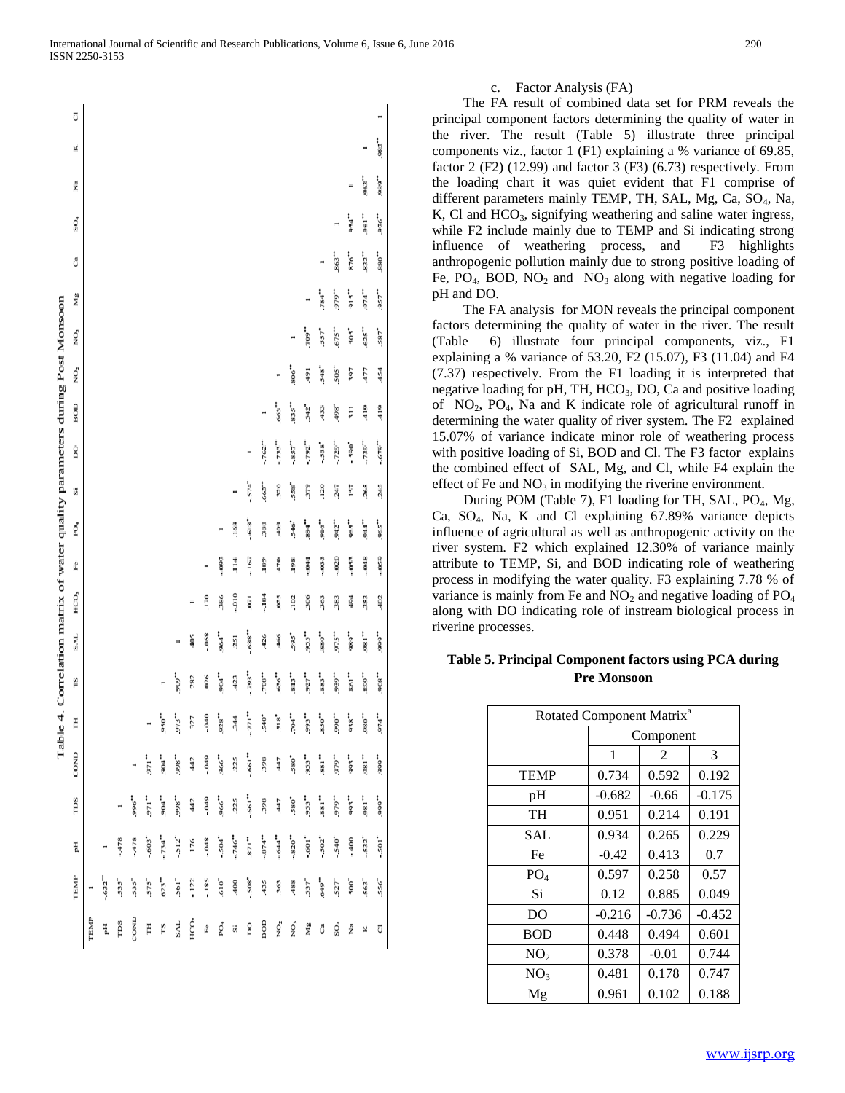|                                                                       | Ū               |      |                      |             |        |          |         |                |                  |          |                     |                 |                     |                      |         |                      |                     |                            |                    |                     |                      | Ħ                   |
|-----------------------------------------------------------------------|-----------------|------|----------------------|-------------|--------|----------|---------|----------------|------------------|----------|---------------------|-----------------|---------------------|----------------------|---------|----------------------|---------------------|----------------------------|--------------------|---------------------|----------------------|---------------------|
|                                                                       | ×               |      |                      |             |        |          |         |                |                  |          |                     |                 |                     |                      |         |                      |                     |                            |                    |                     | Ħ                    | 982"                |
|                                                                       | ź               |      |                      |             |        |          |         |                |                  |          |                     |                 |                     |                      |         |                      |                     |                            |                    |                     | 963**                | 989*                |
|                                                                       | SO <sub>4</sub> |      |                      |             |        |          |         |                |                  |          |                     |                 |                     |                      |         |                      |                     |                            | н                  | 954"                | 981"                 | 976"                |
|                                                                       | Ĉ               |      |                      |             |        |          |         |                |                  |          |                     |                 |                     |                      |         |                      |                     |                            | 863"               | 876"                | 832"                 | 880"                |
|                                                                       | Mg              |      |                      |             |        |          |         |                |                  |          |                     |                 |                     |                      |         |                      | π                   | 784                        | 979*               | 915"                | 974                  | 957**               |
|                                                                       | ŅO,             |      |                      |             |        |          |         |                |                  |          |                     |                 |                     |                      |         |                      | 709*                | $557$ <sup>*</sup>         | .675"              | 505                 | .625"                | 587                 |
|                                                                       | NO,             |      |                      |             |        |          |         |                |                  |          |                     |                 |                     |                      |         | $.806$ <sup>**</sup> | 160                 | 548°                       | $505$ <sup>*</sup> | 597                 | 477                  | 454                 |
|                                                                       | BOD             |      |                      |             |        |          |         |                |                  |          |                     |                 |                     | π                    | 663**   | 835"                 | 542°                | 433                        | 498                | 311                 | 419                  | 419                 |
|                                                                       | 8               |      |                      |             |        |          |         |                |                  |          |                     |                 | Ħ                   | $-762"$              | $-733$  | $-857$ <sup>**</sup> | $-792$              | 538                        | $-729$             | $-590$ <sup>*</sup> | $-739$ <sup>**</sup> | $-679"$             |
|                                                                       | S,              |      |                      |             |        |          |         |                |                  |          |                     |                 | $-574$ <sup>*</sup> | 663**                | 320     | 558                  | 379                 | .120                       | 247                | .157                | 265                  | 245                 |
|                                                                       | PO,             |      |                      |             |        |          |         |                |                  |          |                     |                 |                     |                      | 409     | 546                  |                     | $.916$ <sup>**</sup>       | 942*               | 965 <sup>**</sup>   | 944"                 | .965"               |
|                                                                       |                 |      |                      |             |        |          |         |                |                  |          | m                   | .168            | 618"                | 388                  |         |                      | -168                |                            |                    |                     |                      |                     |
|                                                                       | L               |      |                      |             |        |          |         |                |                  | Ħ        | $-093$              | $\frac{4}{114}$ | $-167$              | .189                 | 470     | .198                 | $-041$              | $-033$                     | $-020$             | $-053$              | $-048$               | $-059$              |
|                                                                       | НСО,            |      |                      |             |        |          |         |                | Ħ                | .120     | 386                 | $-010$          | 571                 | $-184$               | .ozs    | .102                 | 306                 | 363                        | 383                | 494                 | 353                  | 402                 |
|                                                                       | <b>SAL</b>      |      |                      |             |        |          |         |                | 405              | $-0.58$  | $-1064$             | 251             | $-688$              | 426                  | 466     | 595*                 | 955"                | $880$ $\rlap{.}^{\bullet}$ | 975"               | 989"                | 981"                 | -666                |
| 4. Correlation matrix of water quality parameters during Post Monsoon | rs              |      |                      |             |        |          |         | 909"           | 282              | ,026     | 904 <sup>**</sup>   | 423             | $-293$              | $708$ <sup>**</sup>  | 636"    | 813"                 | 927**               | 883**                      | 939**              | 861"                | -.668                | .908                |
|                                                                       | Ĕ               |      |                      |             |        |          | "ose.   | 973**          | 327              | $-0.040$ | 928"                | 344             | -וְהָ               | 540°                 | 518     | $704$ <sup>**</sup>  | 993**               | 850**                      | .,066              | .938*               | .980"                | 974                 |
| Table                                                                 | COND            |      |                      |             | Ħ      | 571"     | $-1004$ | .998"          | 442              | $-049$   | .966"               | 225             | $-661$ "            | 398                  | 447     | 580                  | 953*                | 881"                       | .646               | 993*                | 981"                 | -666                |
|                                                                       | rps             |      |                      |             | .996"  | 971"     | $-904$  | .,866          | 442              | $-049$   | $966$ <sup>**</sup> | 225             | $-661$ "            | 398                  | 447     | 580                  | 953"                | "188"                      | 979"               | 993**               | 981"                 | -,666               |
|                                                                       | Ĕ               |      |                      | $-478$      | $-478$ | $-503 -$ | 734"    | $-512^{\circ}$ | .176             | $-0.48$  | $-504$ <sup>*</sup> | $-746"$         | 871"                | $-874$ <sup>--</sup> | $-644"$ | $-820$ <sup>**</sup> | $-601$ <sup>*</sup> | $-502$ <sup>*</sup>        | $-5402$            | -,400               | $-532$ <sup>*</sup>  | $-501$ <sup>*</sup> |
|                                                                       |                 |      |                      |             |        |          |         |                |                  |          |                     |                 |                     |                      |         |                      |                     |                            |                    |                     |                      |                     |
|                                                                       | TEMP            |      | $-632$ <sup>**</sup> | <b>535*</b> | 535*   | 575      | 623"    | 561*           | $-122$           | $-185$   | .610                | 400             | $-508$              | 435                  | 363     | 488                  | 537                 | 649"                       | $527^*$            | 500°                | 563*                 | 556                 |
|                                                                       |                 | TEMP | Ë                    | rps         | COND   | Ë        | rs      | <b>SAL</b>     | HCO <sub>3</sub> | £        | ğ                   | S               | 8                   | BOD                  | ŅO,     | NO,                  | Ms                  | ĉ                          | SO <sub>4</sub>    | Ž                   | ¥                    | Ū                   |

## c. Factor Analysis (FA)

 The FA result of combined data set for PRM reveals the principal component factors determining the quality of water in the river. The result (Table 5) illustrate three principal components viz., factor 1 (F1) explaining a % variance of 69.85, factor 2 (F2) (12.99) and factor 3 (F3) (6.73) respectively. From the loading chart it was quiet evident that F1 comprise of different parameters mainly TEMP, TH, SAL, Mg, Ca, SO<sub>4</sub>, Na,  $K$ , Cl and HCO<sub>3</sub>, signifying weathering and saline water ingress, while F2 include mainly due to TEMP and Si indicating strong influence of weathering process, and F3 highlights anthropogenic pollution mainly due to strong positive loading of Fe, PO<sub>4</sub>, BOD, NO<sub>2</sub> and NO<sub>3</sub> along with negative loading for pH and DO.

 The FA analysis for MON reveals the principal component factors determining the quality of water in the river. The result (Table 6) illustrate four principal components, viz., F1 explaining a % variance of 53.20, F2 (15.07), F3 (11.04) and F4 (7.37) respectively. From the F1 loading it is interpreted that negative loading for pH, TH,  $HCO<sub>3</sub>$ , DO, Ca and positive loading of  $NO<sub>2</sub>$ ,  $PO<sub>4</sub>$ , Na and K indicate role of agricultural runoff in determining the water quality of river system. The F2 explained 15.07% of variance indicate minor role of weathering process with positive loading of Si, BOD and Cl. The F3 factor explains the combined effect of SAL, Mg, and Cl, while F4 explain the effect of Fe and  $NO<sub>3</sub>$  in modifying the riverine environment.

During POM (Table 7), F1 loading for TH, SAL, PO<sub>4</sub>, Mg, Ca, SO4, Na, K and Cl explaining 67.89% variance depicts influence of agricultural as well as anthropogenic activity on the river system. F2 which explained 12.30% of variance mainly attribute to TEMP, Si, and BOD indicating role of weathering process in modifying the water quality. F3 explaining 7.78 % of variance is mainly from Fe and  $NO<sub>2</sub>$  and negative loading of  $PO<sub>4</sub>$ along with DO indicating role of instream biological process in riverine processes.

## **Table 5. Principal Component factors using PCA during Pre Monsoon**

| Rotated Component Matrix <sup>a</sup> |          |           |          |
|---------------------------------------|----------|-----------|----------|
|                                       |          | Component |          |
|                                       | 1        | 2         | 3        |
| <b>TEMP</b>                           | 0.734    | 0.592     | 0.192    |
| pH                                    | $-0.682$ | $-0.66$   | $-0.175$ |
| TH                                    | 0.951    | 0.214     | 0.191    |
| <b>SAL</b>                            | 0.934    | 0.265     | 0.229    |
| Fe                                    | $-0.42$  | 0.413     | 0.7      |
| PO <sub>4</sub>                       | 0.597    | 0.258     | 0.57     |
| Si                                    | 0.12     | 0.885     | 0.049    |
| DO                                    | $-0.216$ | $-0.736$  | $-0.452$ |
| <b>BOD</b>                            | 0.448    | 0.494     | 0.601    |
| NO <sub>2</sub>                       | 0.378    | $-0.01$   | 0.744    |
| NO <sub>3</sub>                       | 0.481    | 0.178     | 0.747    |
| Mg                                    | 0.961    | 0.102     | 0.188    |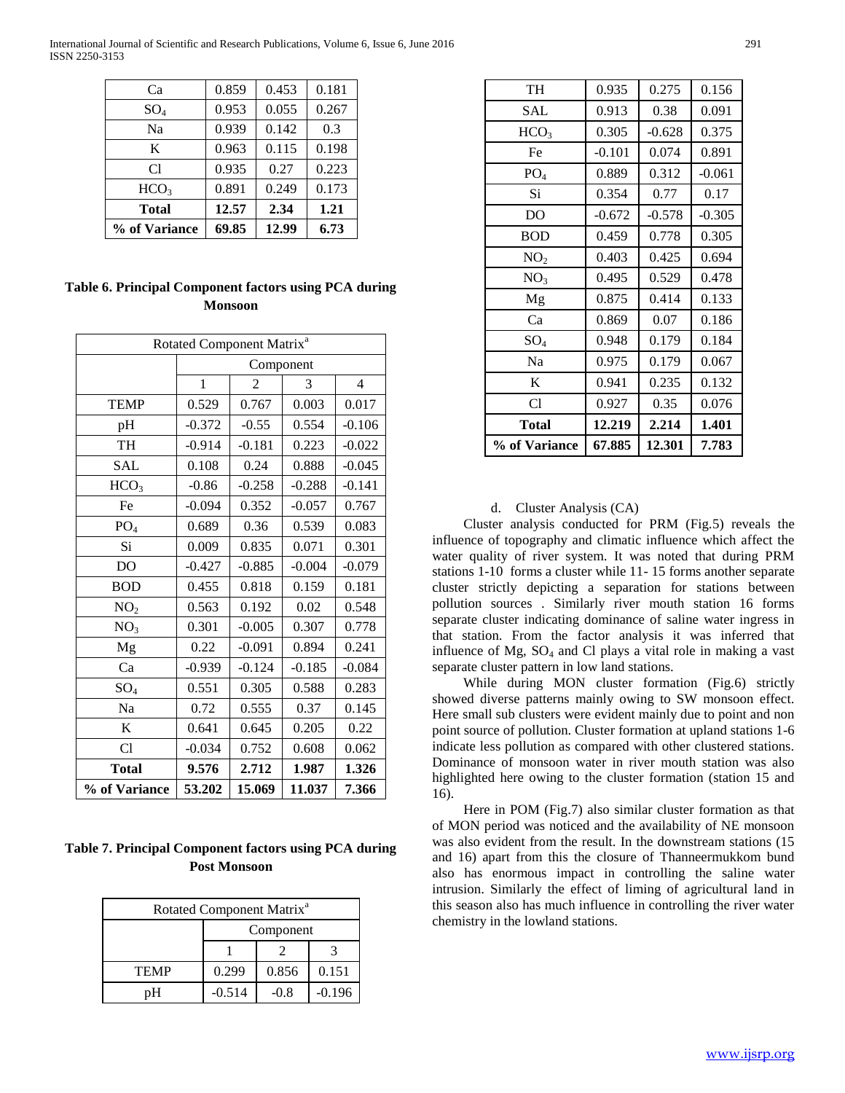International Journal of Scientific and Research Publications, Volume 6, Issue 6, June 2016 291 ISSN 2250-3153

| % of Variance    | 69.85 | 12.99 | 6.73  |
|------------------|-------|-------|-------|
| Total            | 12.57 | 2.34  | 1.21  |
| HCO <sub>3</sub> | 0.891 | 0.249 | 0.173 |
| C1               | 0.935 | 0.27  | 0.223 |
| K                | 0.963 | 0.115 | 0.198 |
| Na               | 0.939 | 0.142 | 0.3   |
| $\mathrm{SO}_4$  | 0.953 | 0.055 | 0.267 |
| Cа               | 0.859 | 0.453 | 0.181 |

**Table 6. Principal Component factors using PCA during Monsoon**

|                  |              | Rotated Component Matrix <sup>a</sup><br>Component<br>$\overline{4}$<br>2<br>3<br>0.767<br>0.003<br>0.017<br>$-0.55$<br>0.554<br>$-0.106$<br>$-0.181$<br>0.223<br>$-0.022$<br>$-0.045$<br>0.24<br>0.888<br>$-0.258$<br>$-0.288$<br>$-0.141$<br>0.352<br>$-0.057$<br>0.767<br>0.36<br>0.539<br>0.083<br>0.071<br>0.301<br>0.835<br>$-0.885$<br>$-0.004$<br>$-0.079$<br>0.818<br>0.159<br>0.181<br>0.192<br>0.02<br>0.548<br>$-0.005$<br>0.307<br>0.778<br>$-0.091$<br>0.241<br>0.894<br>$-0.124$<br>$-0.185$<br>$-0.084$<br>0.305<br>0.588<br>0.283<br>0.555<br>0.37<br>0.145<br>0.645<br>0.205<br>0.22 |        |       |  |  |  |  |  |
|------------------|--------------|--------------------------------------------------------------------------------------------------------------------------------------------------------------------------------------------------------------------------------------------------------------------------------------------------------------------------------------------------------------------------------------------------------------------------------------------------------------------------------------------------------------------------------------------------------------------------------------------------------|--------|-------|--|--|--|--|--|
|                  |              |                                                                                                                                                                                                                                                                                                                                                                                                                                                                                                                                                                                                        |        |       |  |  |  |  |  |
|                  | $\mathbf{1}$ |                                                                                                                                                                                                                                                                                                                                                                                                                                                                                                                                                                                                        |        |       |  |  |  |  |  |
| <b>TEMP</b>      | 0.529        |                                                                                                                                                                                                                                                                                                                                                                                                                                                                                                                                                                                                        |        |       |  |  |  |  |  |
| pH               | $-0.372$     |                                                                                                                                                                                                                                                                                                                                                                                                                                                                                                                                                                                                        |        |       |  |  |  |  |  |
| TH               | $-0.914$     |                                                                                                                                                                                                                                                                                                                                                                                                                                                                                                                                                                                                        |        |       |  |  |  |  |  |
| <b>SAL</b>       | 0.108        |                                                                                                                                                                                                                                                                                                                                                                                                                                                                                                                                                                                                        |        |       |  |  |  |  |  |
| HCO <sub>3</sub> | $-0.86$      |                                                                                                                                                                                                                                                                                                                                                                                                                                                                                                                                                                                                        |        |       |  |  |  |  |  |
| Fe               | $-0.094$     |                                                                                                                                                                                                                                                                                                                                                                                                                                                                                                                                                                                                        |        |       |  |  |  |  |  |
| PO <sub>4</sub>  | 0.689        |                                                                                                                                                                                                                                                                                                                                                                                                                                                                                                                                                                                                        |        |       |  |  |  |  |  |
| Si               | 0.009        |                                                                                                                                                                                                                                                                                                                                                                                                                                                                                                                                                                                                        |        |       |  |  |  |  |  |
| DO               | $-0.427$     |                                                                                                                                                                                                                                                                                                                                                                                                                                                                                                                                                                                                        |        |       |  |  |  |  |  |
| <b>BOD</b>       | 0.455        |                                                                                                                                                                                                                                                                                                                                                                                                                                                                                                                                                                                                        |        |       |  |  |  |  |  |
| NO <sub>2</sub>  | 0.563        |                                                                                                                                                                                                                                                                                                                                                                                                                                                                                                                                                                                                        |        |       |  |  |  |  |  |
| NO <sub>3</sub>  | 0.301        |                                                                                                                                                                                                                                                                                                                                                                                                                                                                                                                                                                                                        |        |       |  |  |  |  |  |
| Mg               | 0.22         |                                                                                                                                                                                                                                                                                                                                                                                                                                                                                                                                                                                                        |        |       |  |  |  |  |  |
| Ca               | $-0.939$     |                                                                                                                                                                                                                                                                                                                                                                                                                                                                                                                                                                                                        |        |       |  |  |  |  |  |
| $SO_4$           | 0.551        |                                                                                                                                                                                                                                                                                                                                                                                                                                                                                                                                                                                                        |        |       |  |  |  |  |  |
| Na               | 0.72         |                                                                                                                                                                                                                                                                                                                                                                                                                                                                                                                                                                                                        |        |       |  |  |  |  |  |
| K                | 0.641        |                                                                                                                                                                                                                                                                                                                                                                                                                                                                                                                                                                                                        |        |       |  |  |  |  |  |
| Cl               | $-0.034$     | 0.752                                                                                                                                                                                                                                                                                                                                                                                                                                                                                                                                                                                                  | 0.608  | 0.062 |  |  |  |  |  |
| <b>Total</b>     | 9.576        | 2.712                                                                                                                                                                                                                                                                                                                                                                                                                                                                                                                                                                                                  | 1.987  | 1.326 |  |  |  |  |  |
| % of Variance    | 53.202       | 15.069                                                                                                                                                                                                                                                                                                                                                                                                                                                                                                                                                                                                 | 11.037 | 7.366 |  |  |  |  |  |

**Table 7. Principal Component factors using PCA during Post Monsoon**

|             | Rotated Component Matrix <sup>a</sup> |           |          |
|-------------|---------------------------------------|-----------|----------|
|             |                                       | Component |          |
|             |                                       |           |          |
| <b>TEMP</b> | 0.299                                 | 0.856     | 0.151    |
|             | $-0.514$                              | $-0.8$    | $-0.196$ |

| % of Variance    | 67.885   | 12.301   | 7.783    |
|------------------|----------|----------|----------|
| Total            | 12.219   | 2.214    | 1.401    |
| C1               | 0.927    | 0.35     | 0.076    |
| K                | 0.941    | 0.235    | 0.132    |
| Na               | 0.975    | 0.179    | 0.067    |
| $SO_4$           | 0.948    | 0.179    | 0.184    |
| Ca               | 0.869    | 0.07     | 0.186    |
| Mg               | 0.875    | 0.414    | 0.133    |
| NO <sub>3</sub>  | 0.495    | 0.529    | 0.478    |
| NO <sub>2</sub>  | 0.403    | 0.425    | 0.694    |
| <b>BOD</b>       | 0.459    | 0.778    | 0.305    |
| D <sub>O</sub>   | $-0.672$ | $-0.578$ | $-0.305$ |
| Si               | 0.354    | 0.77     | 0.17     |
| PO <sub>4</sub>  | 0.889    | 0.312    | $-0.061$ |
| Fe               | $-0.101$ | 0.074    | 0.891    |
| HCO <sub>3</sub> | 0.305    | $-0.628$ | 0.375    |
| SAL              | 0.913    | 0.38     | 0.091    |
| TH               | 0.935    | 0.275    | 0.156    |

## d. Cluster Analysis (CA)

 Cluster analysis conducted for PRM (Fig.5) reveals the influence of topography and climatic influence which affect the water quality of river system. It was noted that during PRM stations 1-10 forms a cluster while 11- 15 forms another separate cluster strictly depicting a separation for stations between pollution sources . Similarly river mouth station 16 forms separate cluster indicating dominance of saline water ingress in that station. From the factor analysis it was inferred that influence of  $Mg$ ,  $SO_4$  and Cl plays a vital role in making a vast separate cluster pattern in low land stations.

 While during MON cluster formation (Fig.6) strictly showed diverse patterns mainly owing to SW monsoon effect. Here small sub clusters were evident mainly due to point and non point source of pollution. Cluster formation at upland stations 1-6 indicate less pollution as compared with other clustered stations. Dominance of monsoon water in river mouth station was also highlighted here owing to the cluster formation (station 15 and 16).

 Here in POM (Fig.7) also similar cluster formation as that of MON period was noticed and the availability of NE monsoon was also evident from the result. In the downstream stations (15 and 16) apart from this the closure of Thanneermukkom bund also has enormous impact in controlling the saline water intrusion. Similarly the effect of liming of agricultural land in this season also has much influence in controlling the river water chemistry in the lowland stations.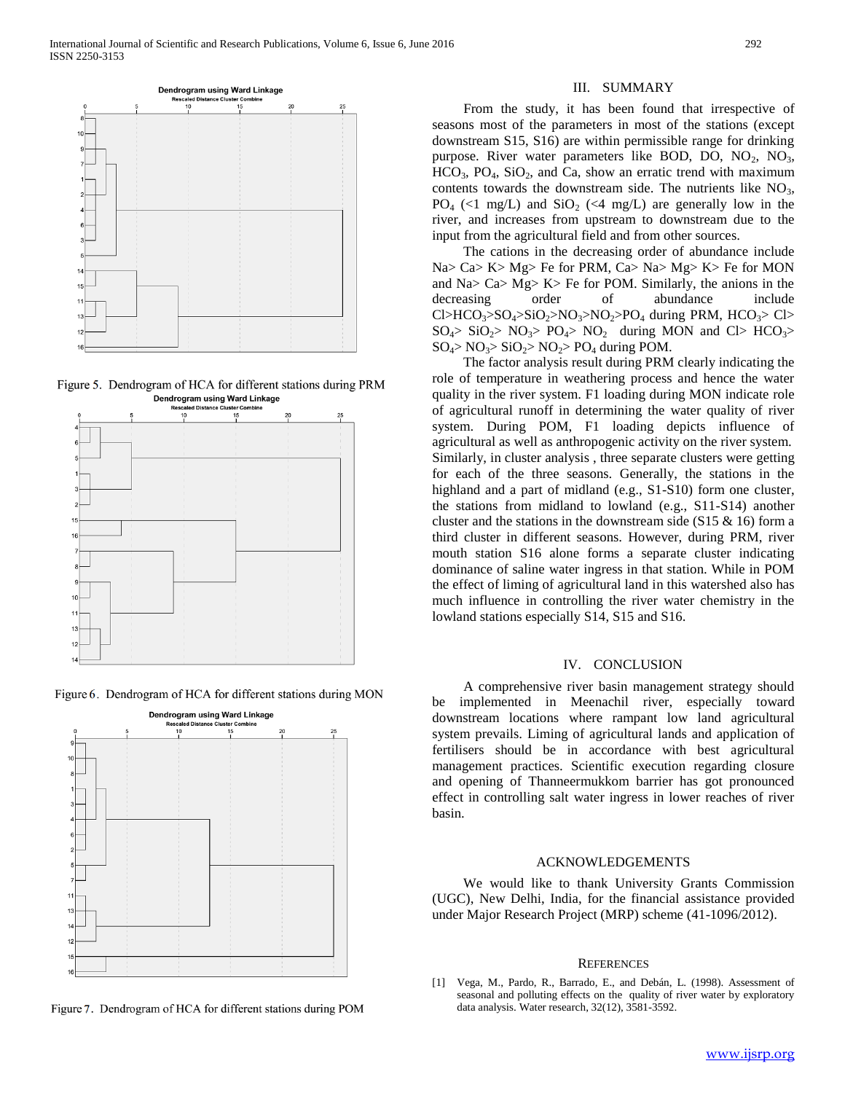

Figure 5. Dendrogram of HCA for different stations during PRM **Dendrogram using Ward Linkage** 



Figure 6. Dendrogram of HCA for different stations during MON



Figure 7. Dendrogram of HCA for different stations during POM

#### III. SUMMARY

 From the study, it has been found that irrespective of seasons most of the parameters in most of the stations (except downstream S15, S16) are within permissible range for drinking purpose. River water parameters like BOD, DO,  $NO<sub>2</sub>$ ,  $NO<sub>3</sub>$ ,  $HCO<sub>3</sub>$ ,  $PO<sub>4</sub>$ ,  $SiO<sub>2</sub>$ , and Ca, show an erratic trend with maximum contents towards the downstream side. The nutrients like  $NO<sub>3</sub>$ , PO<sub>4</sub> (<1 mg/L) and  $SiO<sub>2</sub>$  (<4 mg/L) are generally low in the river, and increases from upstream to downstream due to the input from the agricultural field and from other sources.

 The cations in the decreasing order of abundance include Na> Ca> K> Mg> Fe for PRM, Ca> Na> Mg> K> Fe for MON and Na> Ca> Mg> K> Fe for POM. Similarly, the anions in the decreasing order of abundance include Cl>HCO<sub>3</sub>>SO<sub>4</sub>>SiO<sub>2</sub>>NO<sub>3</sub>>NO<sub>2</sub>>PO<sub>4</sub> during PRM, HCO<sub>3</sub>> Cl>  $SO_4$ >  $SO_2$ >  $NO_3$ >  $PO_4$ >  $NO_2$  during MON and Cl> HCO<sub>3</sub>>  $SO_4$ > NO<sub>3</sub>>  $SO_2$ > NO<sub>2</sub>> PO<sub>4</sub> during POM.

 The factor analysis result during PRM clearly indicating the role of temperature in weathering process and hence the water quality in the river system. F1 loading during MON indicate role of agricultural runoff in determining the water quality of river system. During POM, F1 loading depicts influence of agricultural as well as anthropogenic activity on the river system. Similarly, in cluster analysis , three separate clusters were getting for each of the three seasons. Generally, the stations in the highland and a part of midland (e.g., S1-S10) form one cluster, the stations from midland to lowland (e.g., S11-S14) another cluster and the stations in the downstream side (S15  $\&$  16) form a third cluster in different seasons. However, during PRM, river mouth station S16 alone forms a separate cluster indicating dominance of saline water ingress in that station. While in POM the effect of liming of agricultural land in this watershed also has much influence in controlling the river water chemistry in the lowland stations especially S14, S15 and S16.

#### IV. CONCLUSION

 A comprehensive river basin management strategy should implemented in Meenachil river, especially toward downstream locations where rampant low land agricultural system prevails. Liming of agricultural lands and application of fertilisers should be in accordance with best agricultural management practices. Scientific execution regarding closure and opening of Thanneermukkom barrier has got pronounced effect in controlling salt water ingress in lower reaches of river basin.

#### ACKNOWLEDGEMENTS

 We would like to thank University Grants Commission (UGC), New Delhi, India, for the financial assistance provided under Major Research Project (MRP) scheme (41-1096/2012).

#### **REFERENCES**

[1] Vega, M., Pardo, R., Barrado, E., and Debán, L. (1998). Assessment of seasonal and polluting effects on the quality of river water by exploratory data analysis. Water research, 32(12), 3581-3592.